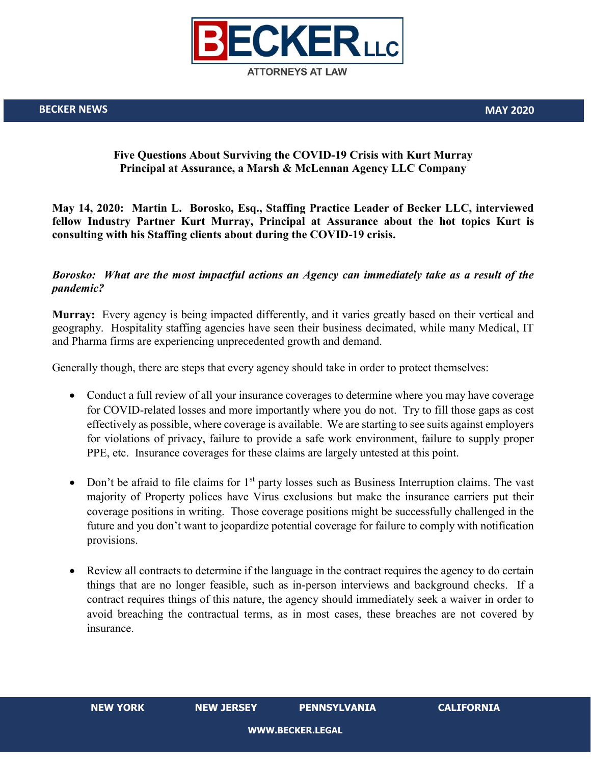

# **Five Questions About Surviving the COVID-19 Crisis with Kurt Murray Principal at Assurance, a Marsh & McLennan Agency LLC Company**

**May 14, 2020: Martin L. Borosko, Esq., Staffing Practice Leader of Becker LLC, interviewed fellow Industry Partner Kurt Murray, Principal at Assurance about the hot topics Kurt is consulting with his Staffing clients about during the COVID-19 crisis.**

## *Borosko: What are the most impactful actions an Agency can immediately take as a result of the pandemic?*

**Murray:** Every agency is being impacted differently, and it varies greatly based on their vertical and geography. Hospitality staffing agencies have seen their business decimated, while many Medical, IT and Pharma firms are experiencing unprecedented growth and demand.

Generally though, there are steps that every agency should take in order to protect themselves:

- Conduct a full review of all your insurance coverages to determine where you may have coverage for COVID-related losses and more importantly where you do not. Try to fill those gaps as cost effectively as possible, where coverage is available. We are starting to see suits against employers for violations of privacy, failure to provide a safe work environment, failure to supply proper PPE, etc. Insurance coverages for these claims are largely untested at this point.
- Don't be afraid to file claims for  $1<sup>st</sup>$  party losses such as Business Interruption claims. The vast majority of Property polices have Virus exclusions but make the insurance carriers put their coverage positions in writing. Those coverage positions might be successfully challenged in the future and you don't want to jeopardize potential coverage for failure to comply with notification provisions.
- Review all contracts to determine if the language in the contract requires the agency to do certain things that are no longer feasible, such as in-person interviews and background checks. If a contract requires things of this nature, the agency should immediately seek a waiver in order to avoid breaching the contractual terms, as in most cases, these breaches are not covered by insurance.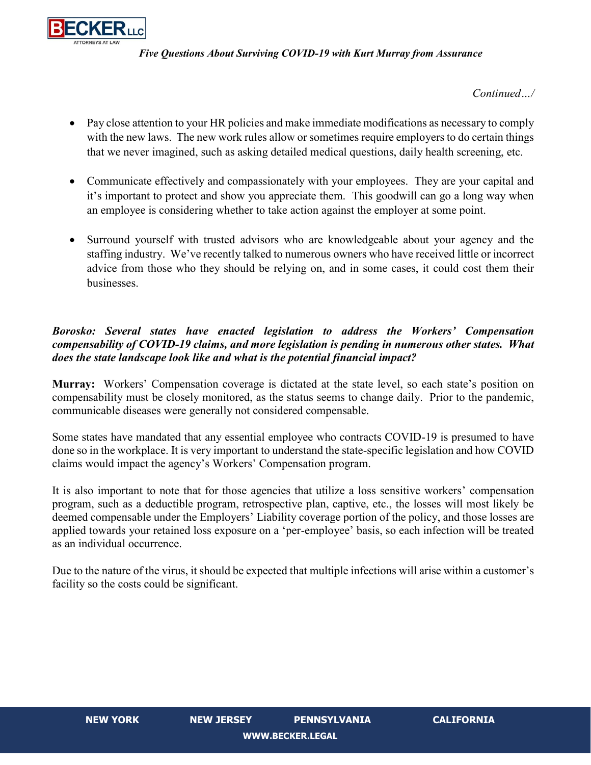

*Continued…/*

- Pay close attention to your HR policies and make immediate modifications as necessary to comply with the new laws. The new work rules allow or sometimes require employers to do certain things that we never imagined, such as asking detailed medical questions, daily health screening, etc.
- Communicate effectively and compassionately with your employees. They are your capital and it's important to protect and show you appreciate them. This goodwill can go a long way when an employee is considering whether to take action against the employer at some point.
- Surround yourself with trusted advisors who are knowledgeable about your agency and the staffing industry. We've recently talked to numerous owners who have received little or incorrect advice from those who they should be relying on, and in some cases, it could cost them their businesses.

# *Borosko: Several states have enacted legislation to address the Workers' Compensation compensability of COVID-19 claims, and more legislation is pending in numerous other states. What does the state landscape look like and what is the potential financial impact?*

**Murray:** Workers' Compensation coverage is dictated at the state level, so each state's position on compensability must be closely monitored, as the status seems to change daily. Prior to the pandemic, communicable diseases were generally not considered compensable.

Some states have mandated that any essential employee who contracts COVID-19 is presumed to have done so in the workplace. It is very important to understand the state-specific legislation and how COVID claims would impact the agency's Workers' Compensation program.

It is also important to note that for those agencies that utilize a loss sensitive workers' compensation program, such as a deductible program, retrospective plan, captive, etc., the losses will most likely be deemed compensable under the Employers' Liability coverage portion of the policy, and those losses are applied towards your retained loss exposure on a 'per-employee' basis, so each infection will be treated as an individual occurrence.

Due to the nature of the virus, it should be expected that multiple infections will arise within a customer's facility so the costs could be significant.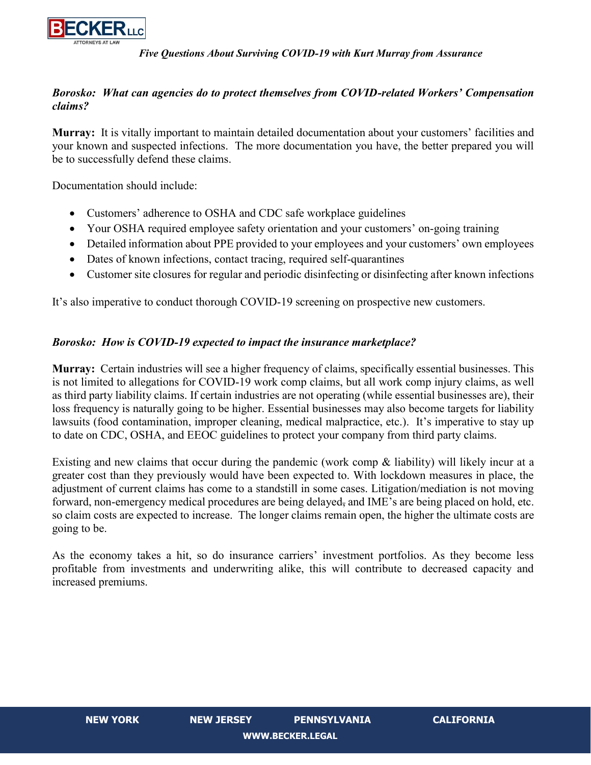

# *Borosko: What can agencies do to protect themselves from COVID-related Workers' Compensation claims?*

**Murray:** It is vitally important to maintain detailed documentation about your customers' facilities and your known and suspected infections. The more documentation you have, the better prepared you will be to successfully defend these claims.

Documentation should include:

- Customers' adherence to OSHA and CDC safe workplace guidelines
- Your OSHA required employee safety orientation and your customers' on-going training
- Detailed information about PPE provided to your employees and your customers' own employees
- Dates of known infections, contact tracing, required self-quarantines
- Customer site closures for regular and periodic disinfecting or disinfecting after known infections

It's also imperative to conduct thorough COVID-19 screening on prospective new customers.

## *Borosko: How is COVID-19 expected to impact the insurance marketplace?*

**Murray:** Certain industries will see a higher frequency of claims, specifically essential businesses. This is not limited to allegations for COVID-19 work comp claims, but all work comp injury claims, as well as third party liability claims. If certain industries are not operating (while essential businesses are), their loss frequency is naturally going to be higher. Essential businesses may also become targets for liability lawsuits (food contamination, improper cleaning, medical malpractice, etc.). It's imperative to stay up to date on CDC, OSHA, and EEOC guidelines to protect your company from third party claims.

Existing and new claims that occur during the pandemic (work comp & liability) will likely incur at a greater cost than they previously would have been expected to. With lockdown measures in place, the adjustment of current claims has come to a standstill in some cases. Litigation/mediation is not moving forward, non-emergency medical procedures are being delayed, and IME's are being placed on hold, etc. so claim costs are expected to increase. The longer claims remain open, the higher the ultimate costs are going to be.

As the economy takes a hit, so do insurance carriers' investment portfolios. As they become less profitable from investments and underwriting alike, this will contribute to decreased capacity and increased premiums.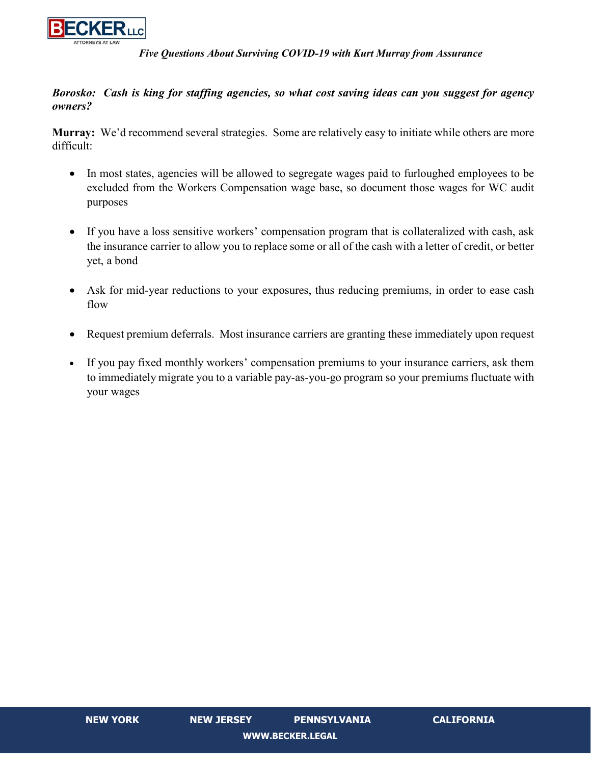

# *Borosko: Cash is king for staffing agencies, so what cost saving ideas can you suggest for agency owners?*

**Murray:** We'd recommend several strategies. Some are relatively easy to initiate while others are more difficult:

- In most states, agencies will be allowed to segregate wages paid to furloughed employees to be excluded from the Workers Compensation wage base, so document those wages for WC audit purposes
- If you have a loss sensitive workers' compensation program that is collateralized with cash, ask the insurance carrier to allow you to replace some or all of the cash with a letter of credit, or better yet, a bond
- Ask for mid-year reductions to your exposures, thus reducing premiums, in order to ease cash flow
- Request premium deferrals. Most insurance carriers are granting these immediately upon request
- If you pay fixed monthly workers' compensation premiums to your insurance carriers, ask them to immediately migrate you to a variable pay-as-you-go program so your premiums fluctuate with your wages